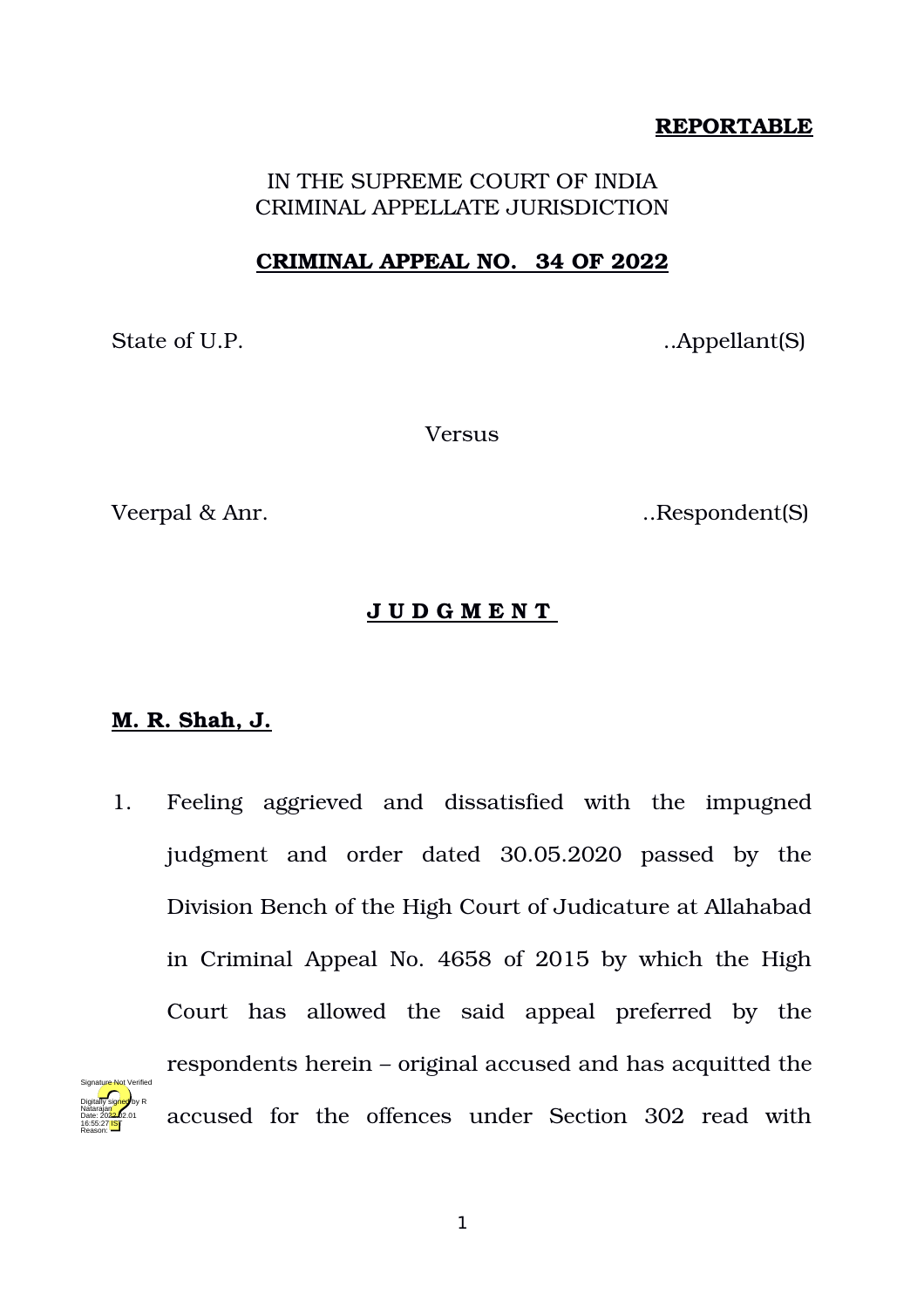## **REPORTABLE**

IN THE SUPREME COURT OF INDIA CRIMINAL APPELLATE JURISDICTION

## **CRIMINAL APPEAL NO. 34 OF 2022**

State of U.P. Appellant (S)

Versus

Veerpal & Anr. Solution of the Second Section 1. Respondent (S)

# **J U D G M E N T**

# **M. R. Shah, J.**

1. Feeling aggrieved and dissatisfied with the impugned judgment and order dated 30.05.2020 passed by the Division Bench of the High Court of Judicature at Allahabad in Criminal Appeal No. 4658 of 2015 by which the High Court has allowed the said appeal preferred by the respondents herein – original accused and has acquitted the accused for the offences under Section 302 read with Digitally signed by R Natarajan Date: 2022.02.01 16:55:27 IST Reason: Signature Not Verified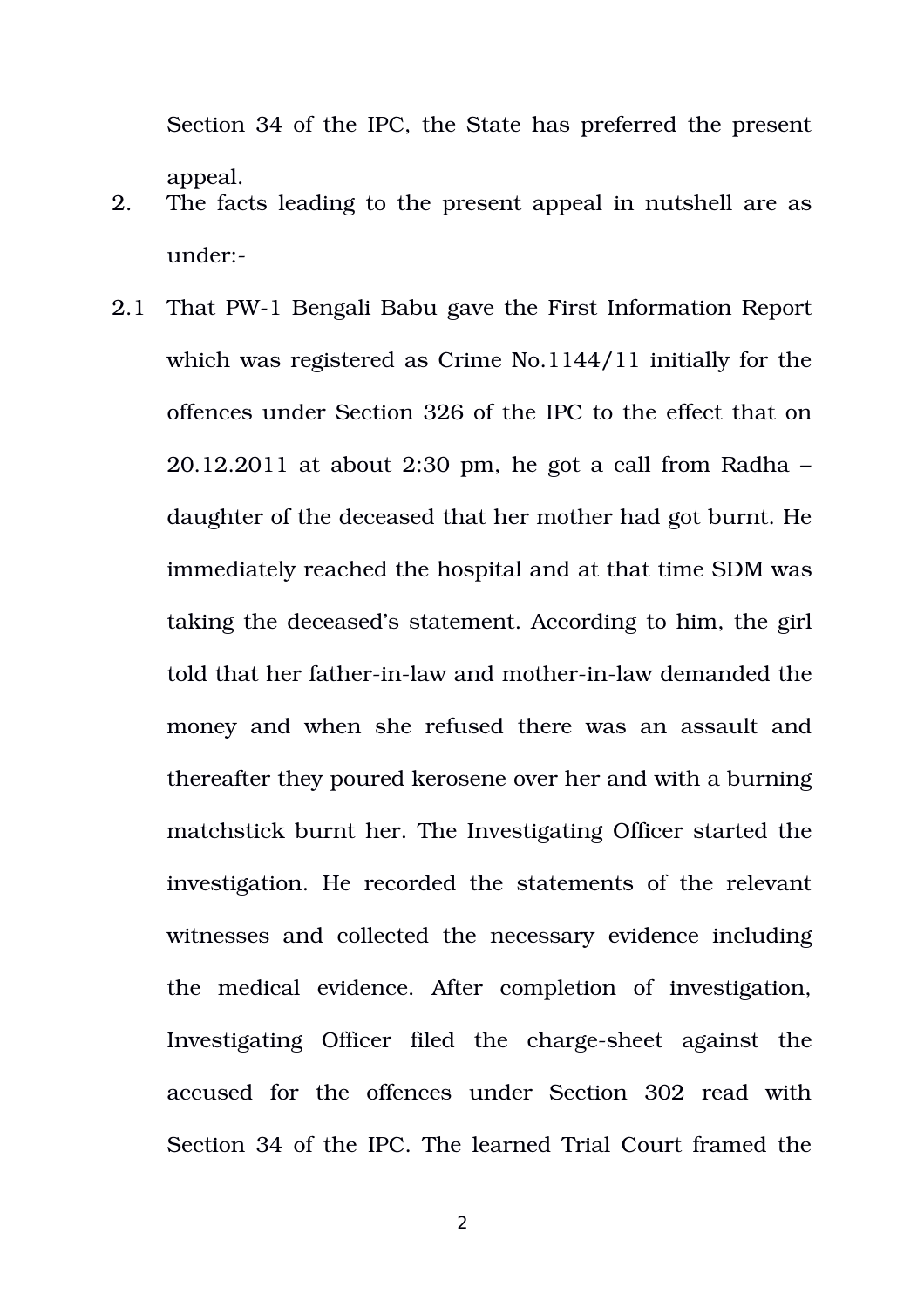Section 34 of the IPC, the State has preferred the present appeal.

- 2. The facts leading to the present appeal in nutshell are as under:
- 2.1 That PW-1 Bengali Babu gave the First Information Report which was registered as Crime No.1144/11 initially for the offences under Section 326 of the IPC to the effect that on 20.12.2011 at about 2:30 pm, he got a call from Radha – daughter of the deceased that her mother had got burnt. He immediately reached the hospital and at that time SDM was taking the deceased's statement. According to him, the girl told that her father-in-law and mother-in-law demanded the money and when she refused there was an assault and thereafter they poured kerosene over her and with a burning matchstick burnt her. The Investigating Officer started the investigation. He recorded the statements of the relevant witnesses and collected the necessary evidence including the medical evidence. After completion of investigation, Investigating Officer filed the charge-sheet against the accused for the offences under Section 302 read with Section 34 of the IPC. The learned Trial Court framed the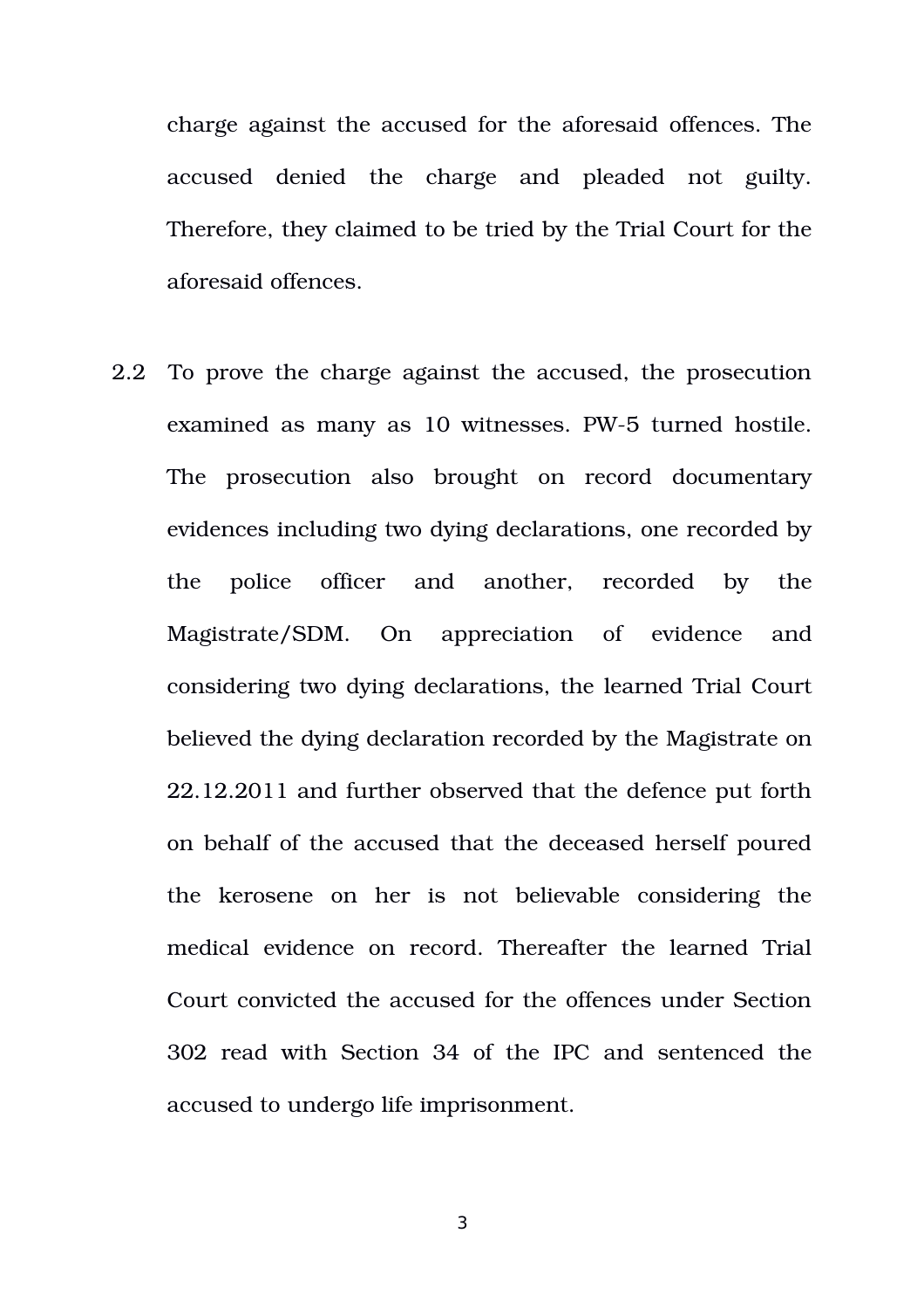charge against the accused for the aforesaid offences. The accused denied the charge and pleaded not guilty. Therefore, they claimed to be tried by the Trial Court for the aforesaid offences.

2.2 To prove the charge against the accused, the prosecution examined as many as 10 witnesses. PW-5 turned hostile. The prosecution also brought on record documentary evidences including two dying declarations, one recorded by the police officer and another, recorded by the Magistrate/SDM. On appreciation of evidence and considering two dying declarations, the learned Trial Court believed the dying declaration recorded by the Magistrate on 22.12.2011 and further observed that the defence put forth on behalf of the accused that the deceased herself poured the kerosene on her is not believable considering the medical evidence on record. Thereafter the learned Trial Court convicted the accused for the offences under Section 302 read with Section 34 of the IPC and sentenced the accused to undergo life imprisonment.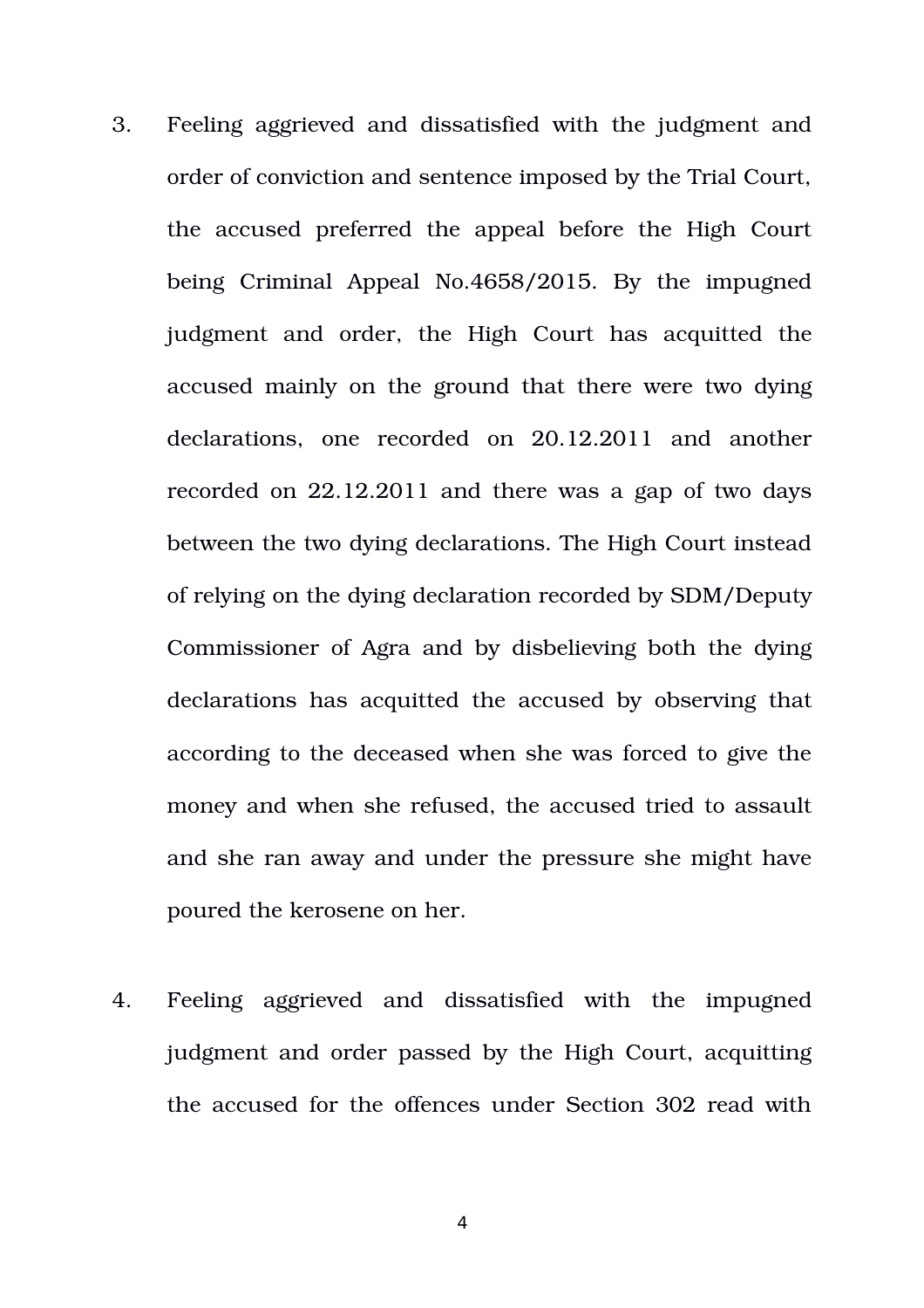- 3. Feeling aggrieved and dissatisfied with the judgment and order of conviction and sentence imposed by the Trial Court, the accused preferred the appeal before the High Court being Criminal Appeal No.4658/2015. By the impugned judgment and order, the High Court has acquitted the accused mainly on the ground that there were two dying declarations, one recorded on 20.12.2011 and another recorded on 22.12.2011 and there was a gap of two days between the two dying declarations. The High Court instead of relying on the dying declaration recorded by SDM/Deputy Commissioner of Agra and by disbelieving both the dying declarations has acquitted the accused by observing that according to the deceased when she was forced to give the money and when she refused, the accused tried to assault and she ran away and under the pressure she might have poured the kerosene on her.
- 4. Feeling aggrieved and dissatisfied with the impugned judgment and order passed by the High Court, acquitting the accused for the offences under Section 302 read with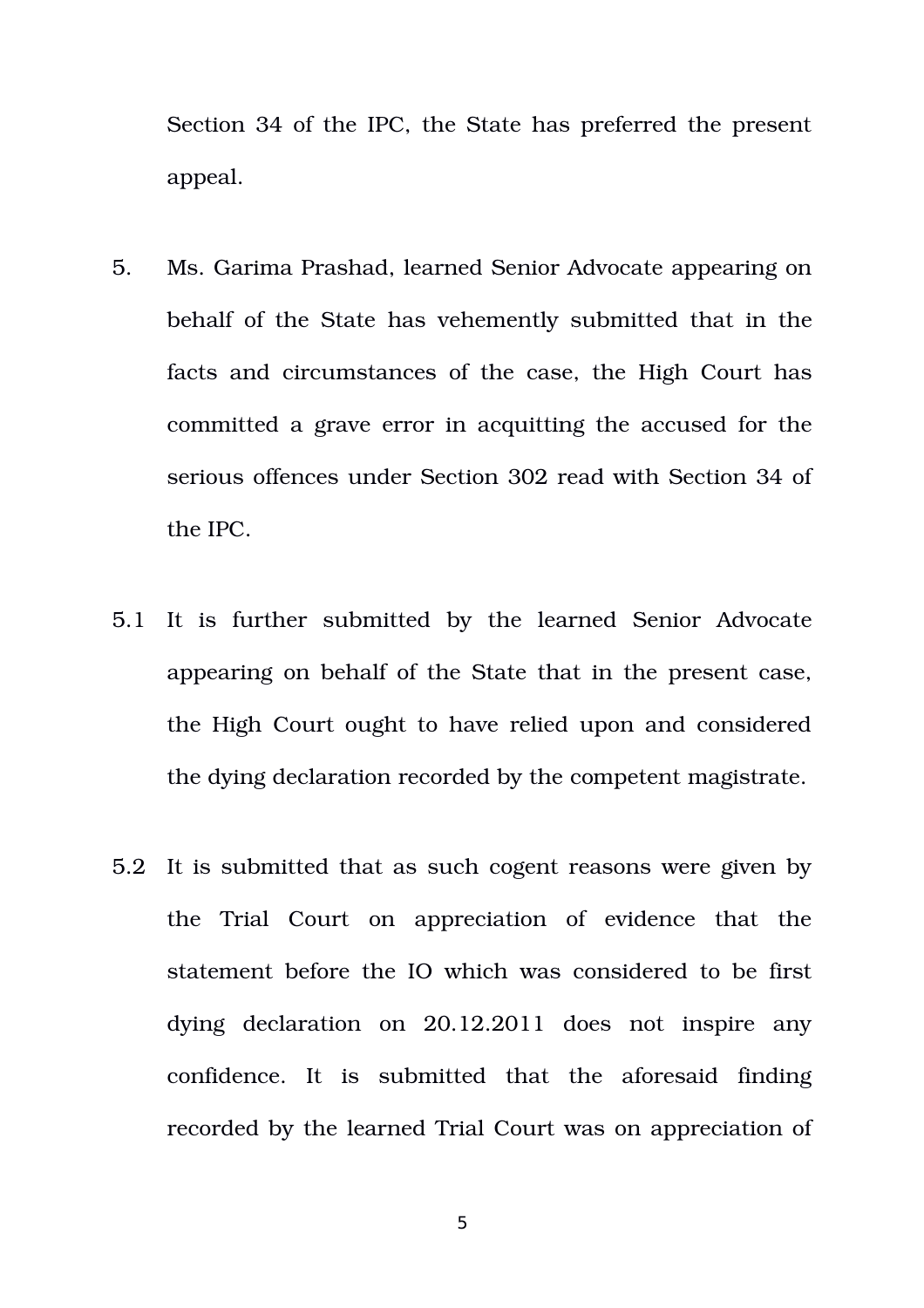Section 34 of the IPC, the State has preferred the present appeal.

- 5. Ms. Garima Prashad, learned Senior Advocate appearing on behalf of the State has vehemently submitted that in the facts and circumstances of the case, the High Court has committed a grave error in acquitting the accused for the serious offences under Section 302 read with Section 34 of the IPC.
- 5.1 It is further submitted by the learned Senior Advocate appearing on behalf of the State that in the present case, the High Court ought to have relied upon and considered the dying declaration recorded by the competent magistrate.
- 5.2 It is submitted that as such cogent reasons were given by the Trial Court on appreciation of evidence that the statement before the IO which was considered to be first dying declaration on 20.12.2011 does not inspire any confidence. It is submitted that the aforesaid finding recorded by the learned Trial Court was on appreciation of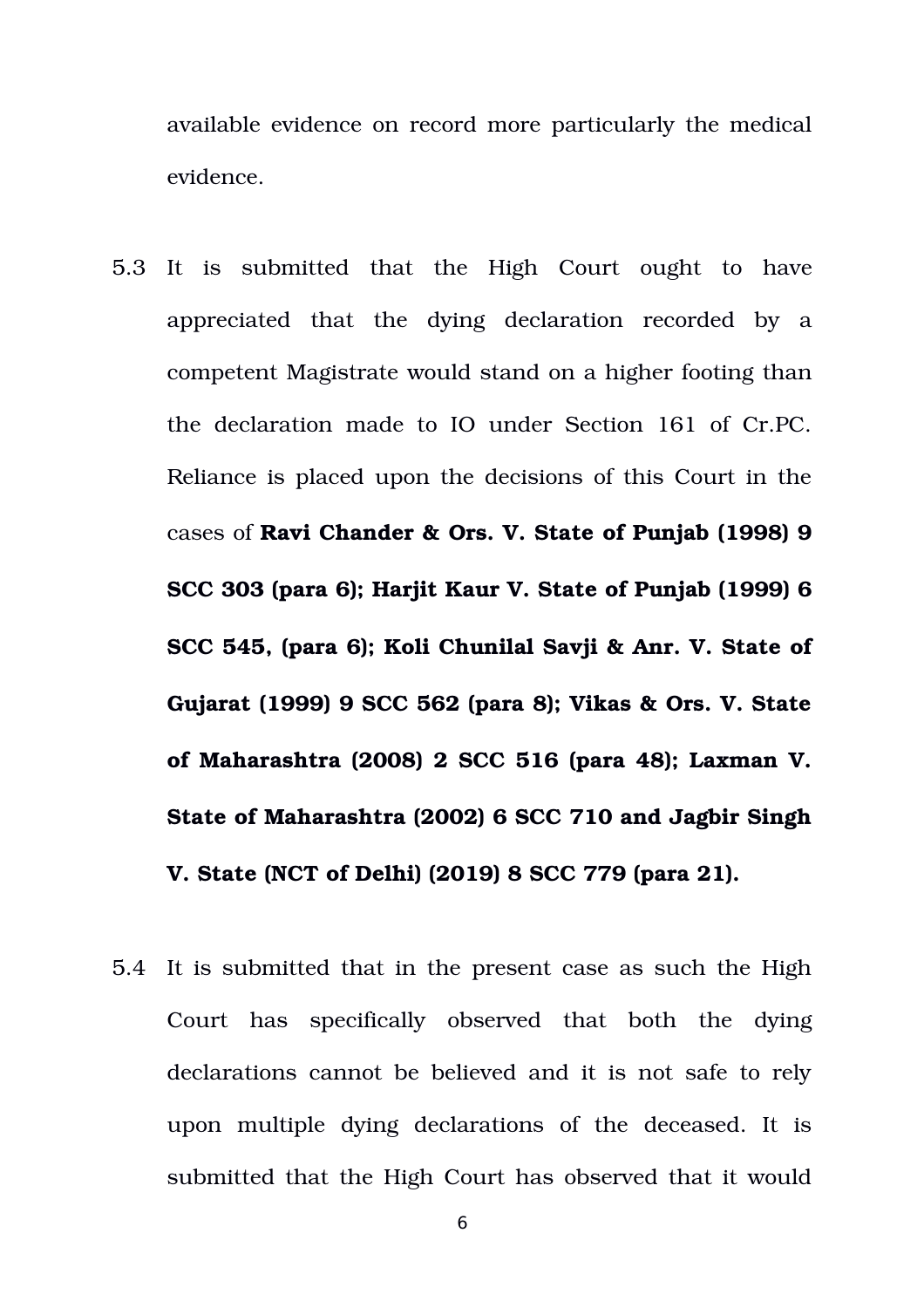available evidence on record more particularly the medical evidence.

- 5.3 It is submitted that the High Court ought to have appreciated that the dying declaration recorded by a competent Magistrate would stand on a higher footing than the declaration made to IO under Section 161 of Cr.PC. Reliance is placed upon the decisions of this Court in the cases of **Ravi Chander & Ors. V. State of Punjab (1998) 9 SCC 303 (para 6); Harjit Kaur V. State of Punjab (1999) 6 SCC 545, (para 6); Koli Chunilal Savji & Anr. V. State of Gujarat (1999) 9 SCC 562 (para 8); Vikas & Ors. V. State of Maharashtra (2008) 2 SCC 516 (para 48); Laxman V. State of Maharashtra (2002) 6 SCC 710 and Jagbir Singh V. State (NCT of Delhi) (2019) 8 SCC 779 (para 21).**
- 5.4 It is submitted that in the present case as such the High Court has specifically observed that both the dying declarations cannot be believed and it is not safe to rely upon multiple dying declarations of the deceased. It is submitted that the High Court has observed that it would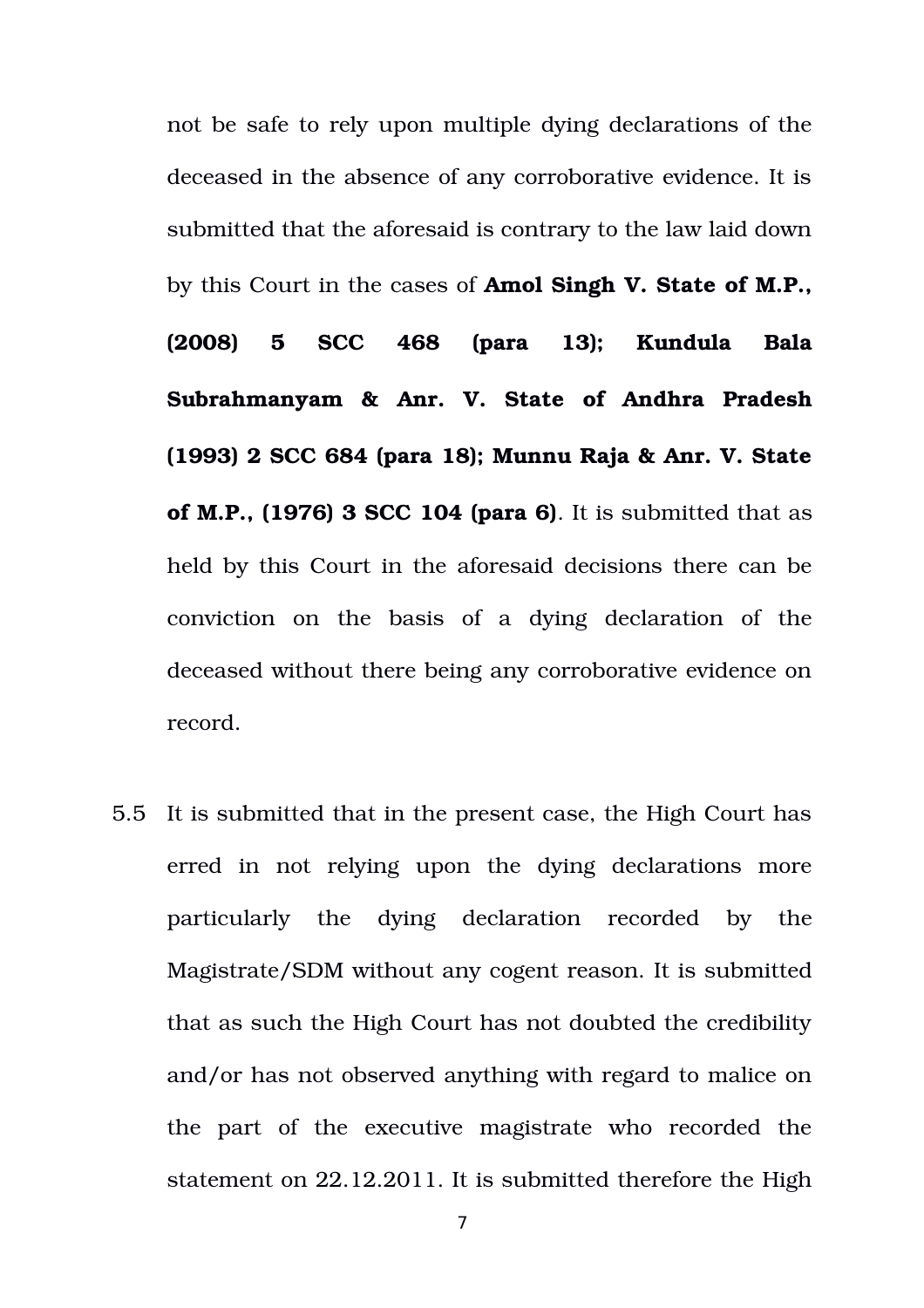not be safe to rely upon multiple dying declarations of the deceased in the absence of any corroborative evidence. It is submitted that the aforesaid is contrary to the law laid down by this Court in the cases of **Amol Singh V. State of M.P., (2008) 5 SCC 468 (para 13); Kundula Bala Subrahmanyam & Anr. V. State of Andhra Pradesh (1993) 2 SCC 684 (para 18); Munnu Raja & Anr. V. State of M.P., (1976) 3 SCC 104 (para 6)**. It is submitted that as held by this Court in the aforesaid decisions there can be conviction on the basis of a dying declaration of the deceased without there being any corroborative evidence on record.

5.5 It is submitted that in the present case, the High Court has erred in not relying upon the dying declarations more particularly the dying declaration recorded by the Magistrate/SDM without any cogent reason. It is submitted that as such the High Court has not doubted the credibility and/or has not observed anything with regard to malice on the part of the executive magistrate who recorded the statement on 22.12.2011. It is submitted therefore the High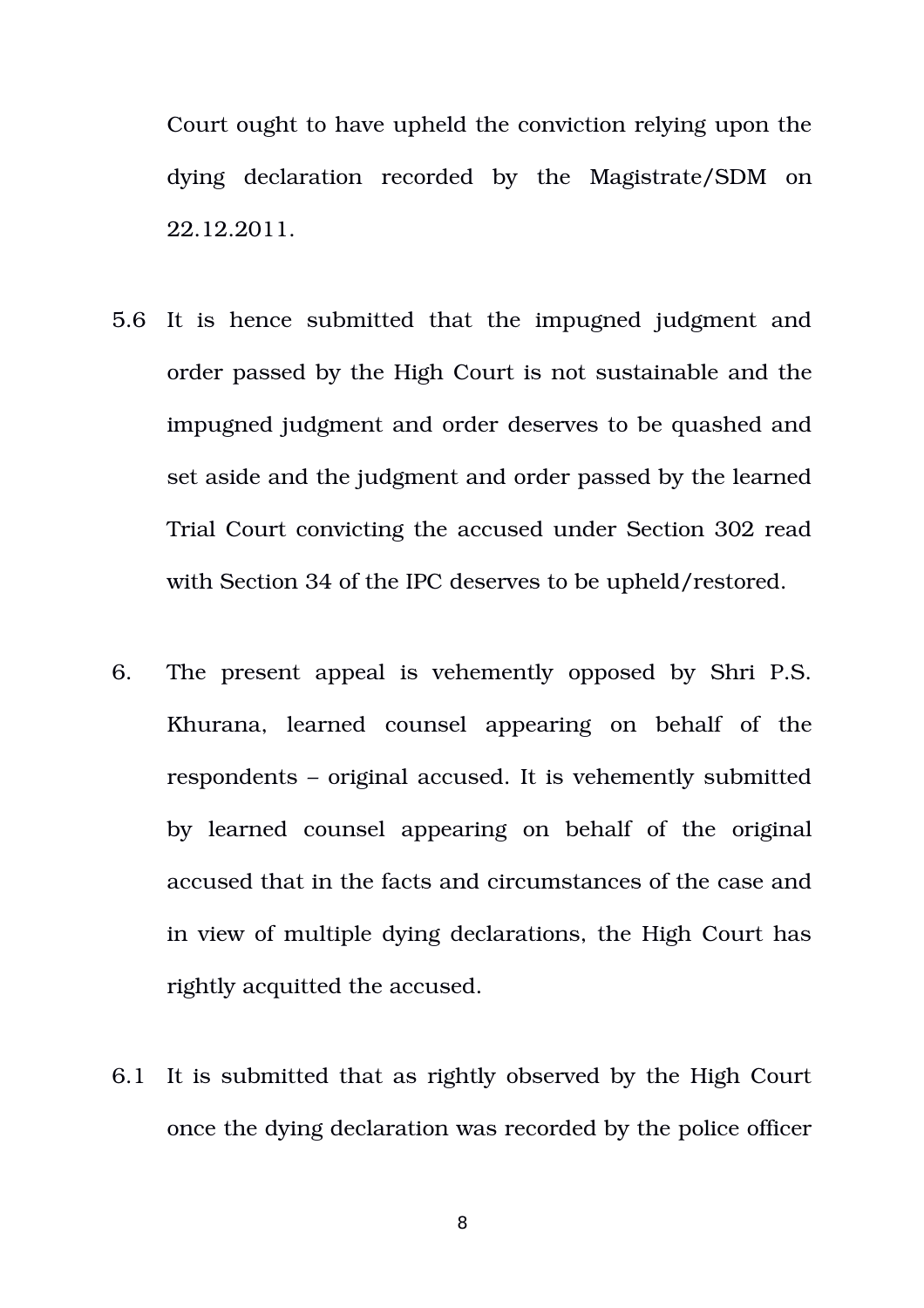Court ought to have upheld the conviction relying upon the dying declaration recorded by the Magistrate/SDM on 22.12.2011.

- 5.6 It is hence submitted that the impugned judgment and order passed by the High Court is not sustainable and the impugned judgment and order deserves to be quashed and set aside and the judgment and order passed by the learned Trial Court convicting the accused under Section 302 read with Section 34 of the IPC deserves to be upheld/restored.
- 6. The present appeal is vehemently opposed by Shri P.S. Khurana, learned counsel appearing on behalf of the respondents – original accused. It is vehemently submitted by learned counsel appearing on behalf of the original accused that in the facts and circumstances of the case and in view of multiple dying declarations, the High Court has rightly acquitted the accused.
- 6.1 It is submitted that as rightly observed by the High Court once the dying declaration was recorded by the police officer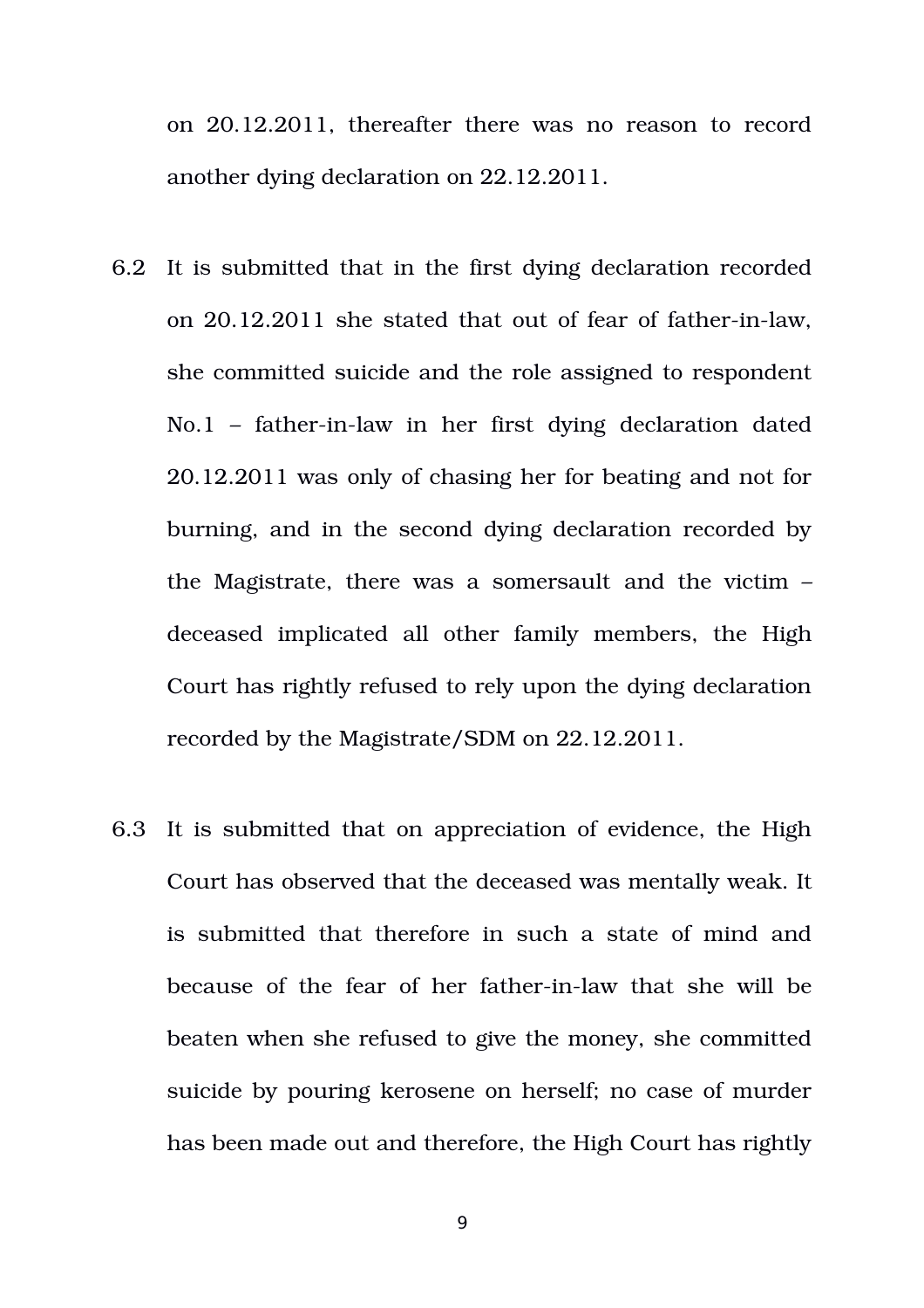on 20.12.2011, thereafter there was no reason to record another dying declaration on 22.12.2011.

- 6.2 It is submitted that in the first dying declaration recorded on 20.12.2011 she stated that out of fear of father-in-law, she committed suicide and the role assigned to respondent  $No.1$  – father-in-law in her first dying declaration dated 20.12.2011 was only of chasing her for beating and not for burning, and in the second dying declaration recorded by the Magistrate, there was a somersault and the victim – deceased implicated all other family members, the High Court has rightly refused to rely upon the dying declaration recorded by the Magistrate/SDM on 22.12.2011.
- 6.3 It is submitted that on appreciation of evidence, the High Court has observed that the deceased was mentally weak. It is submitted that therefore in such a state of mind and because of the fear of her father-in-law that she will be beaten when she refused to give the money, she committed suicide by pouring kerosene on herself; no case of murder has been made out and therefore, the High Court has rightly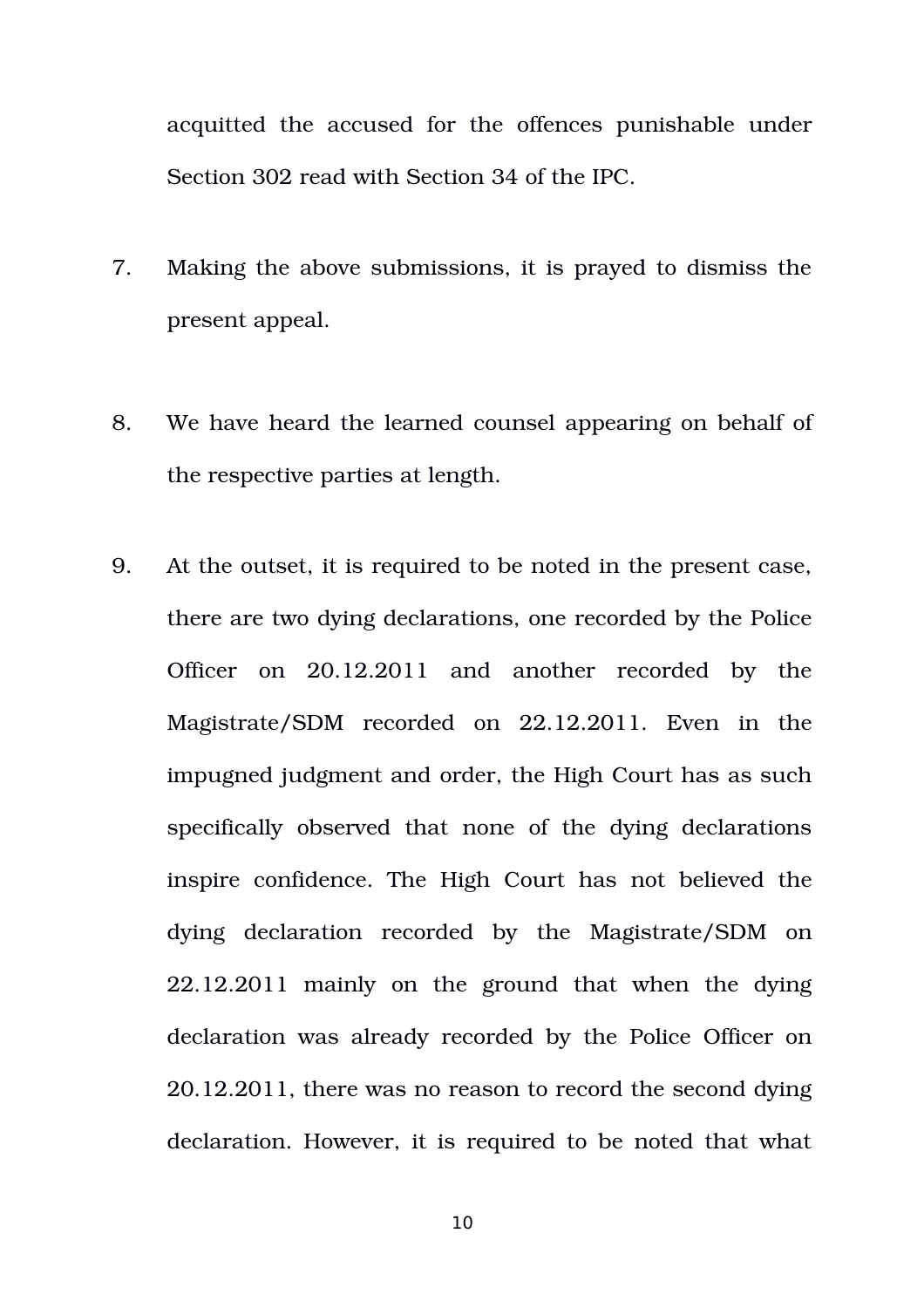acquitted the accused for the offences punishable under Section 302 read with Section 34 of the IPC.

- 7. Making the above submissions, it is prayed to dismiss the present appeal.
- 8. We have heard the learned counsel appearing on behalf of the respective parties at length.
- 9. At the outset, it is required to be noted in the present case, there are two dying declarations, one recorded by the Police Officer on 20.12.2011 and another recorded by the Magistrate/SDM recorded on 22.12.2011. Even in the impugned judgment and order, the High Court has as such specifically observed that none of the dying declarations inspire confidence. The High Court has not believed the dying declaration recorded by the Magistrate/SDM on  $22.12.2011$  mainly on the ground that when the dying declaration was already recorded by the Police Officer on 20.12.2011, there was no reason to record the second dying declaration. However, it is required to be noted that what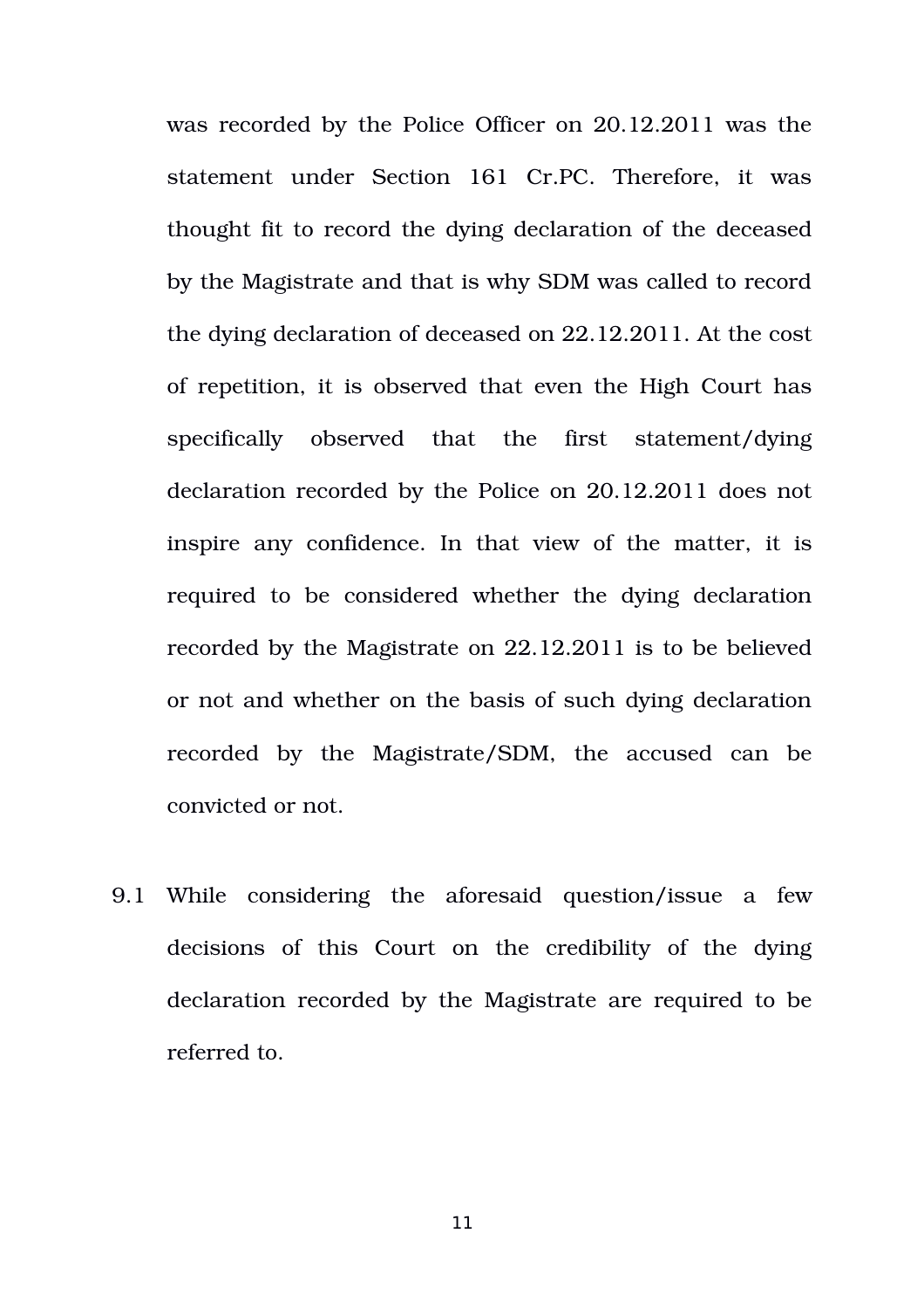was recorded by the Police Officer on 20.12.2011 was the statement under Section 161 Cr.PC. Therefore, it was thought fit to record the dying declaration of the deceased by the Magistrate and that is why SDM was called to record the dying declaration of deceased on 22.12.2011. At the cost of repetition, it is observed that even the High Court has specifically observed that the first statement/dying declaration recorded by the Police on 20.12.2011 does not inspire any confidence. In that view of the matter, it is required to be considered whether the dying declaration recorded by the Magistrate on 22.12.2011 is to be believed or not and whether on the basis of such dying declaration recorded by the Magistrate/SDM, the accused can be convicted or not.

9.1 While considering the aforesaid question/issue a few decisions of this Court on the credibility of the dying declaration recorded by the Magistrate are required to be referred to.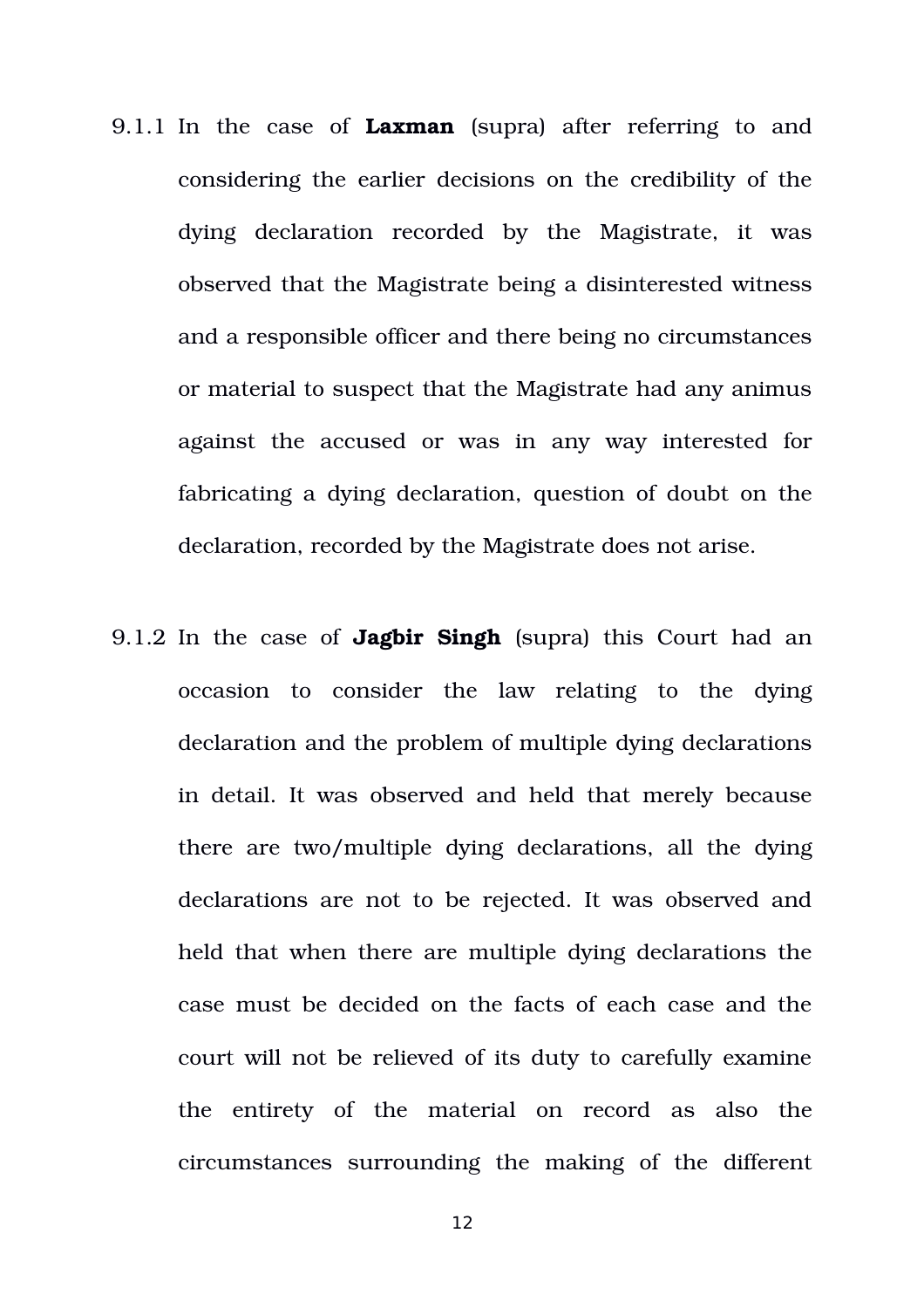- 9.1.1 In the case of **Laxman** (supra) after referring to and considering the earlier decisions on the credibility of the dying declaration recorded by the Magistrate, it was observed that the Magistrate being a disinterested witness and a responsible officer and there being no circumstances or material to suspect that the Magistrate had any animus against the accused or was in any way interested for fabricating a dying declaration, question of doubt on the declaration, recorded by the Magistrate does not arise.
- 9.1.2 In the case of **Jagbir Singh** (supra) this Court had an occasion to consider the law relating to the dying declaration and the problem of multiple dying declarations in detail. It was observed and held that merely because there are two/multiple dying declarations, all the dying declarations are not to be rejected. It was observed and held that when there are multiple dying declarations the case must be decided on the facts of each case and the court will not be relieved of its duty to carefully examine the entirety of the material on record as also the circumstances surrounding the making of the different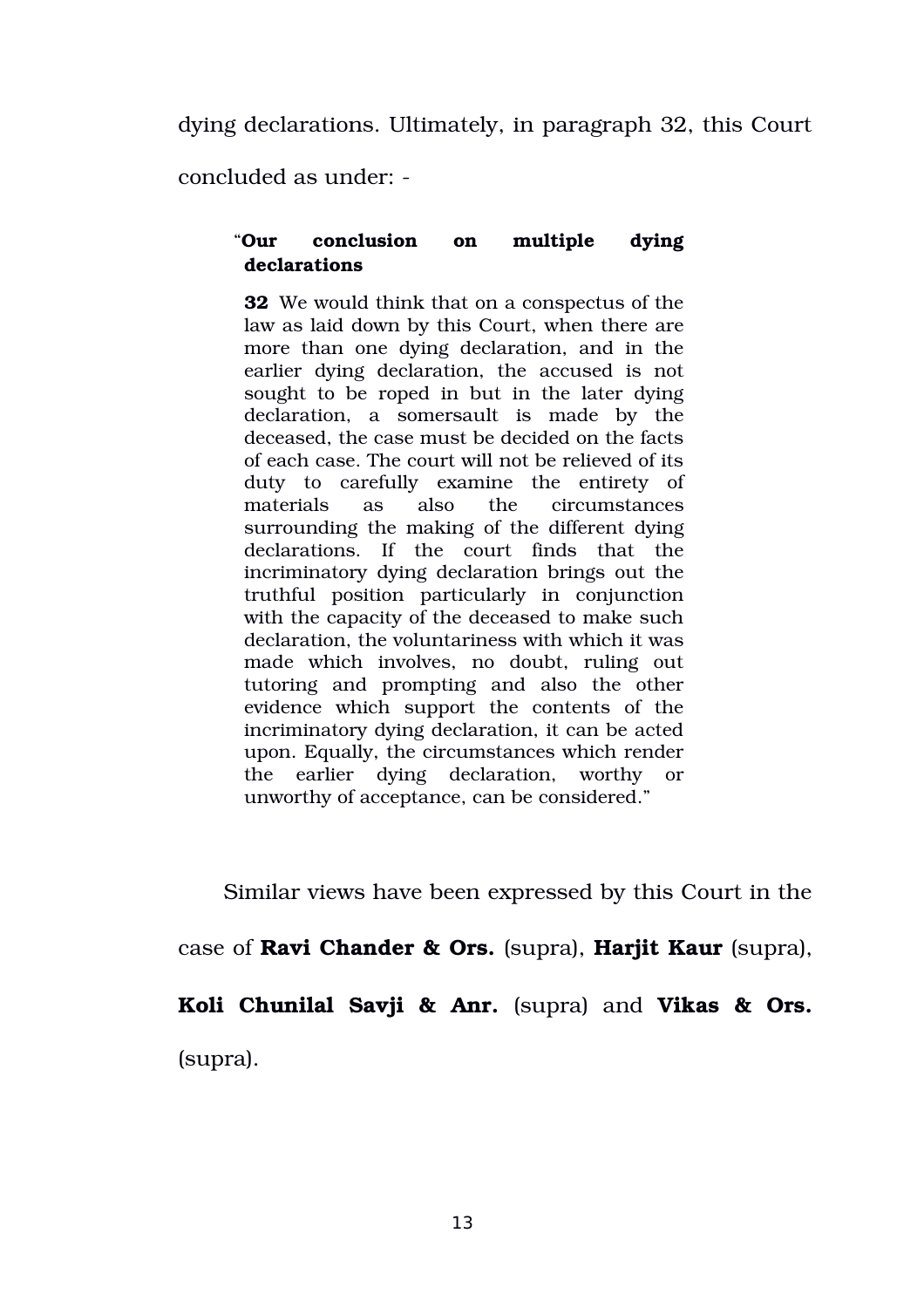dying declarations. Ultimately, in paragraph 32, this Court

concluded as under:

### "**Our conclusion on multiple dying declarations**

**32**  We would think that on a conspectus of the law as laid down by this Court, when there are more than one dying declaration, and in the earlier dying declaration, the accused is not sought to be roped in but in the later dying declaration, a somersault is made by the deceased, the case must be decided on the facts of each case. The court will not be relieved of its duty to carefully examine the entirety of materials as also the circumstances surrounding the making of the different dying declarations. If the court finds that the incriminatory dying declaration brings out the truthful position particularly in conjunction with the capacity of the deceased to make such declaration, the voluntariness with which it was made which involves, no doubt, ruling out tutoring and prompting and also the other evidence which support the contents of the incriminatory dying declaration, it can be acted upon. Equally, the circumstances which render the earlier dying declaration, worthy or unworthy of acceptance, can be considered."

Similar views have been expressed by this Court in the

case of **Ravi Chander & Ors.** (supra), **Harjit Kaur** (supra),

**Koli Chunilal Savji & Anr.** (supra) and **Vikas & Ors.** (supra).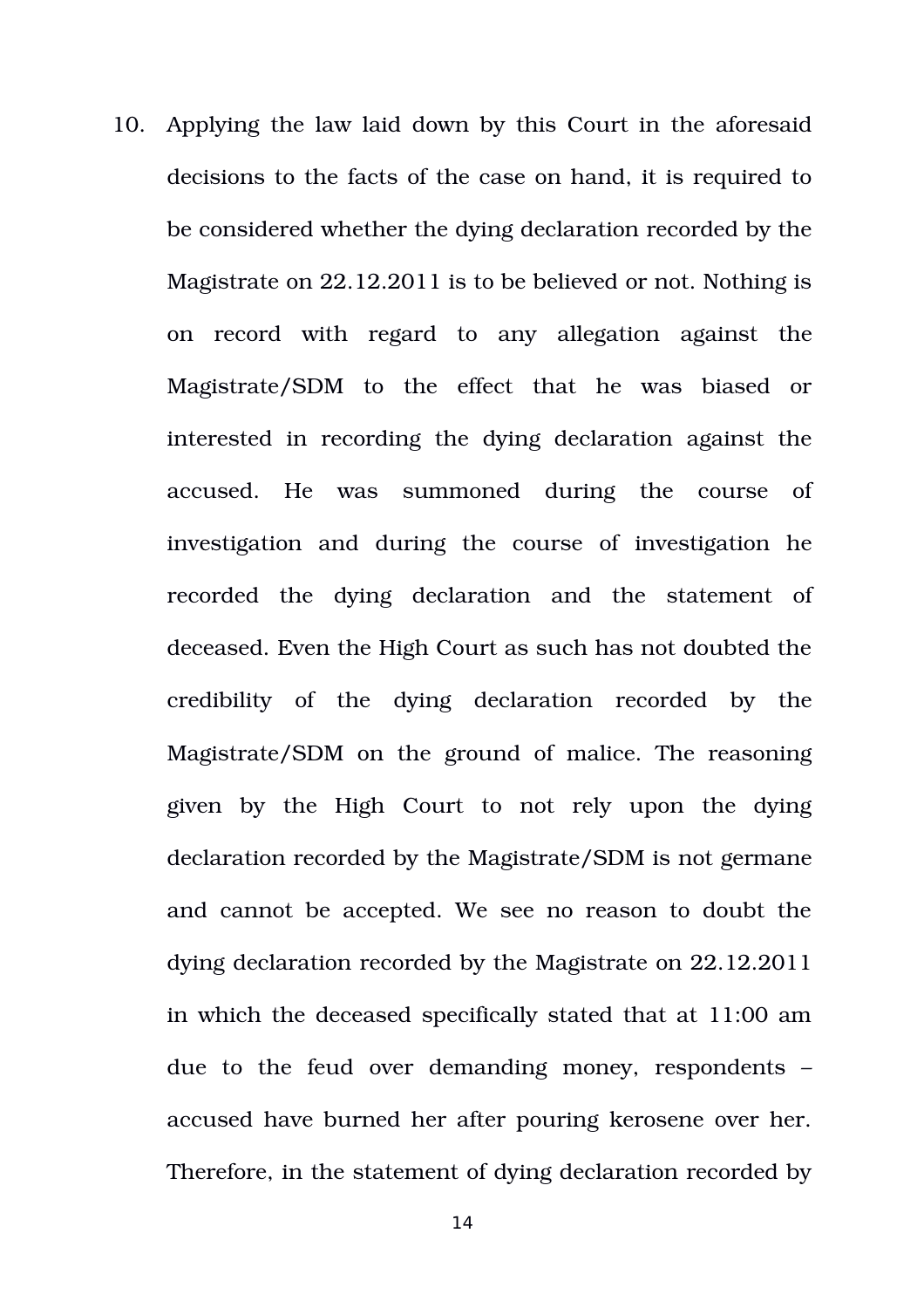10. Applying the law laid down by this Court in the aforesaid decisions to the facts of the case on hand, it is required to be considered whether the dying declaration recorded by the Magistrate on 22.12.2011 is to be believed or not. Nothing is on record with regard to any allegation against the Magistrate/SDM to the effect that he was biased or interested in recording the dying declaration against the accused. He was summoned during the course of investigation and during the course of investigation he recorded the dying declaration and the statement of deceased. Even the High Court as such has not doubted the credibility of the dying declaration recorded by the Magistrate/SDM on the ground of malice. The reasoning given by the High Court to not rely upon the dying declaration recorded by the Magistrate/SDM is not germane and cannot be accepted. We see no reason to doubt the dying declaration recorded by the Magistrate on 22.12.2011 in which the deceased specifically stated that at 11:00 am due to the feud over demanding money, respondents  $$ accused have burned her after pouring kerosene over her. Therefore, in the statement of dying declaration recorded by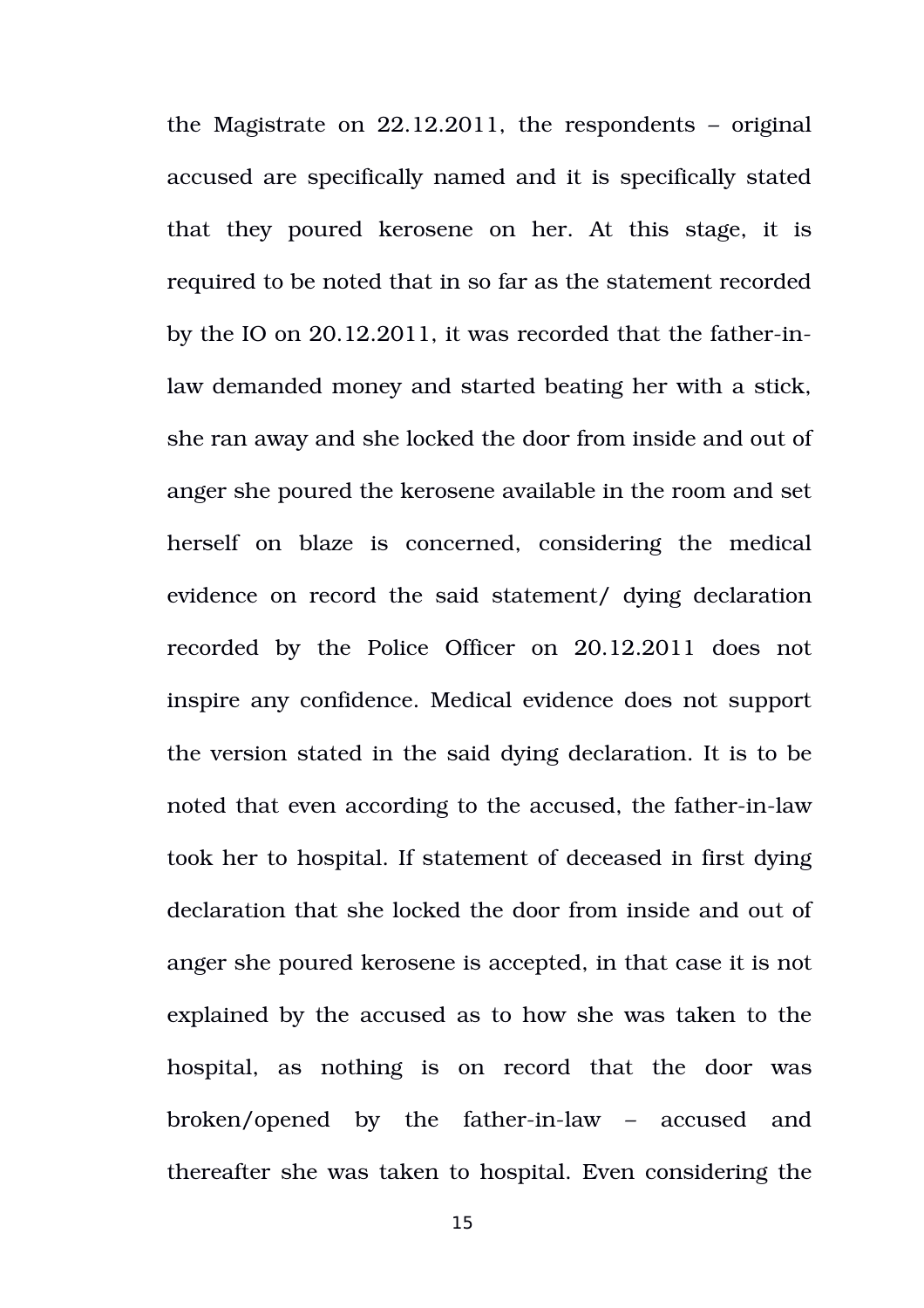the Magistrate on 22.12.2011, the respondents – original accused are specifically named and it is specifically stated that they poured kerosene on her. At this stage, it is required to be noted that in so far as the statement recorded by the IO on  $20.12.2011$ , it was recorded that the father-inlaw demanded money and started beating her with a stick, she ran away and she locked the door from inside and out of anger she poured the kerosene available in the room and set herself on blaze is concerned, considering the medical evidence on record the said statement/ dying declaration recorded by the Police Officer on 20.12.2011 does not inspire any confidence. Medical evidence does not support the version stated in the said dying declaration. It is to be noted that even according to the accused, the father-in-law took her to hospital. If statement of deceased in first dying declaration that she locked the door from inside and out of anger she poured kerosene is accepted, in that case it is not explained by the accused as to how she was taken to the hospital, as nothing is on record that the door was broken/opened by the father-in-law – accused and thereafter she was taken to hospital. Even considering the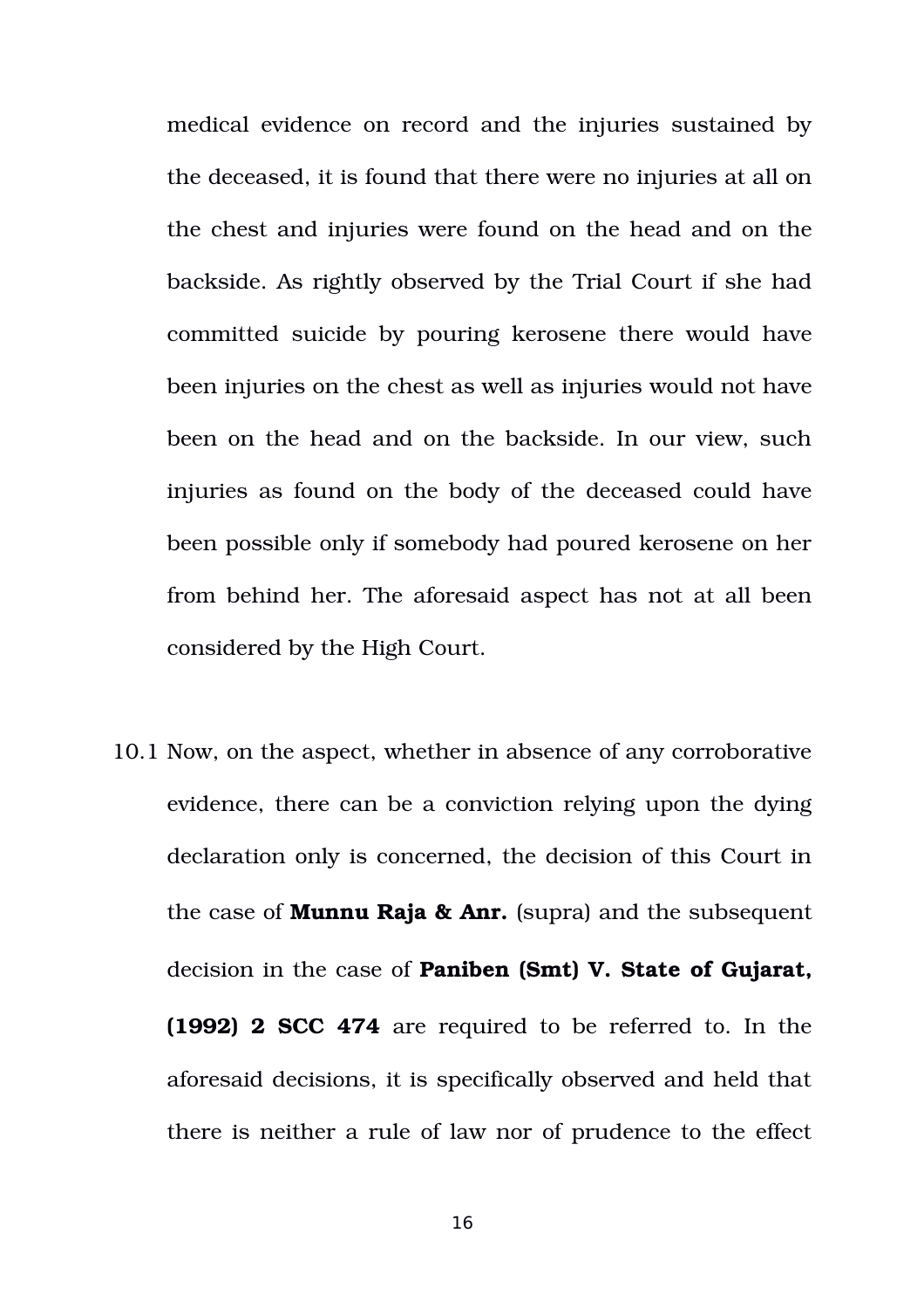medical evidence on record and the injuries sustained by the deceased, it is found that there were no injuries at all on the chest and injuries were found on the head and on the backside. As rightly observed by the Trial Court if she had committed suicide by pouring kerosene there would have been injuries on the chest as well as injuries would not have been on the head and on the backside. In our view, such injuries as found on the body of the deceased could have been possible only if somebody had poured kerosene on her from behind her. The aforesaid aspect has not at all been considered by the High Court.

10.1 Now, on the aspect, whether in absence of any corroborative evidence, there can be a conviction relying upon the dying declaration only is concerned, the decision of this Court in the case of **Munnu Raja & Anr.** (supra) and the subsequent decision in the case of **Paniben (Smt) V. State of Gujarat, (1992) 2 SCC 474** are required to be referred to. In the aforesaid decisions, it is specifically observed and held that there is neither a rule of law nor of prudence to the effect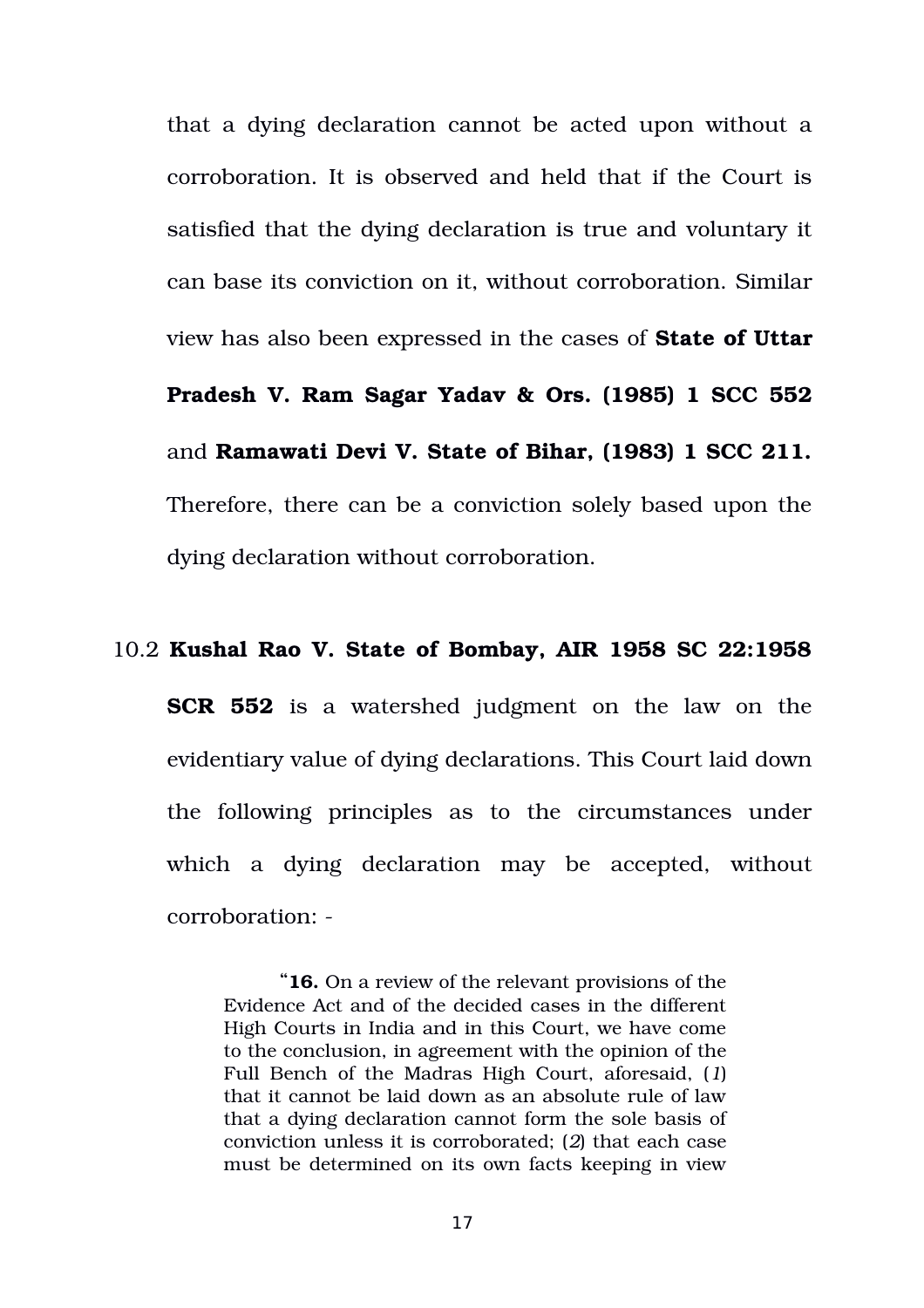that a dying declaration cannot be acted upon without a corroboration. It is observed and held that if the Court is satisfied that the dying declaration is true and voluntary it can base its conviction on it, without corroboration. Similar view has also been expressed in the cases of **State of Uttar Pradesh V. Ram Sagar Yadav & Ors. (1985) 1 SCC 552** and **Ramawati Devi V. State of Bihar, (1983) 1 SCC 211.** Therefore, there can be a conviction solely based upon the dying declaration without corroboration.

#### 10.2 **Kushal Rao V. State of Bombay, AIR 1958 SC 22:1958**

**SCR 552** is a watershed judgment on the law on the evidentiary value of dying declarations. This Court laid down the following principles as to the circumstances under which a dying declaration may be accepted, without corroboration:

"**16.** On a review of the relevant provisions of the Evidence Act and of the decided cases in the different High Courts in India and in this Court, we have come to the conclusion, in agreement with the opinion of the Full Bench of the Madras High Court, aforesaid, (*1*) that it cannot be laid down as an absolute rule of law that a dying declaration cannot form the sole basis of conviction unless it is corroborated; (*2*) that each case must be determined on its own facts keeping in view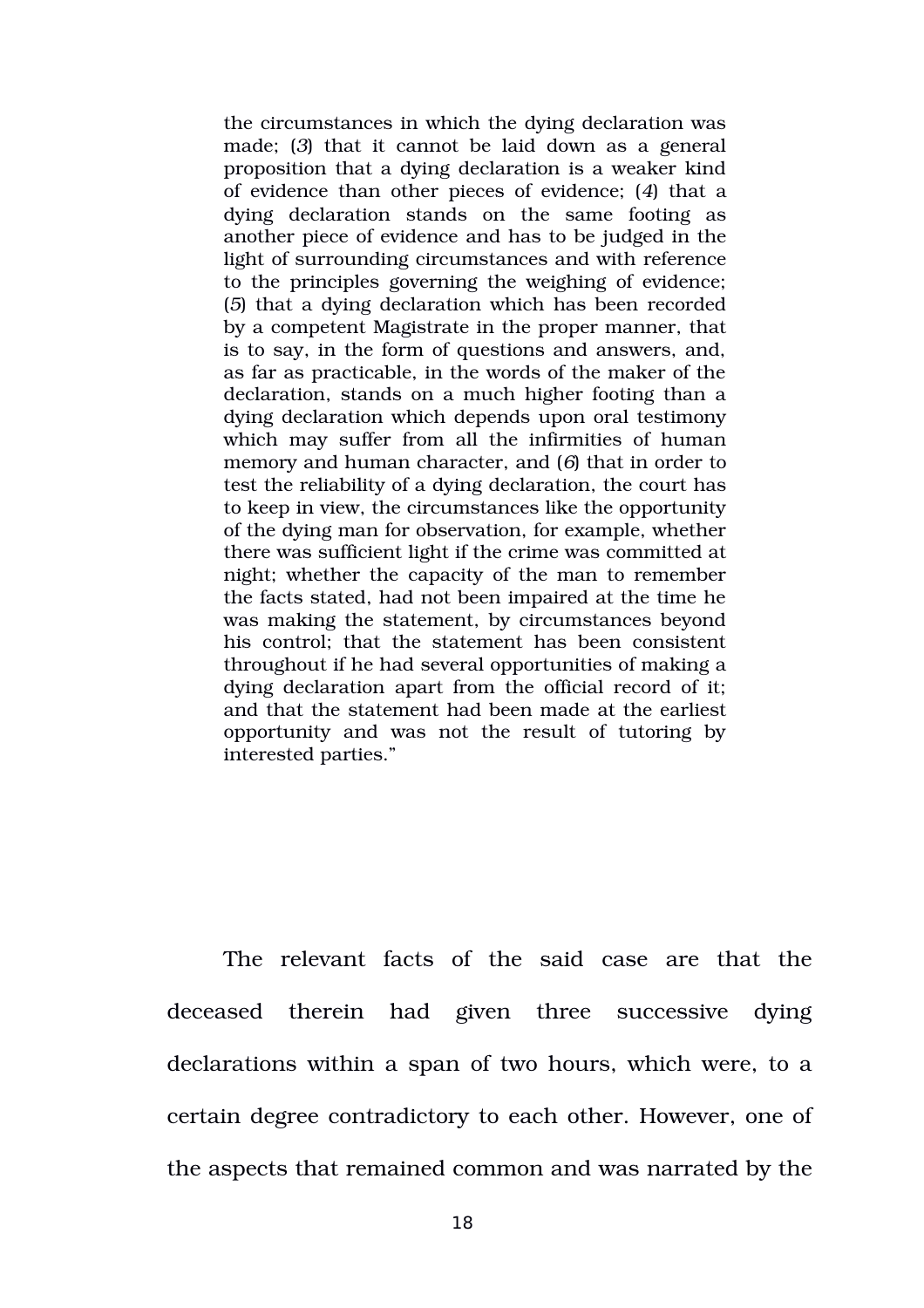the circumstances in which the dying declaration was made; (*3*) that it cannot be laid down as a general proposition that a dying declaration is a weaker kind of evidence than other pieces of evidence; (*4*) that a dying declaration stands on the same footing as another piece of evidence and has to be judged in the light of surrounding circumstances and with reference to the principles governing the weighing of evidence; (*5*) that a dying declaration which has been recorded by a competent Magistrate in the proper manner, that is to say, in the form of questions and answers, and, as far as practicable, in the words of the maker of the declaration, stands on a much higher footing than a dying declaration which depends upon oral testimony which may suffer from all the infirmities of human memory and human character, and (*6*) that in order to test the reliability of a dying declaration, the court has to keep in view, the circumstances like the opportunity of the dying man for observation, for example, whether there was sufficient light if the crime was committed at night; whether the capacity of the man to remember the facts stated, had not been impaired at the time he was making the statement, by circumstances beyond his control; that the statement has been consistent throughout if he had several opportunities of making a dying declaration apart from the official record of it; and that the statement had been made at the earliest opportunity and was not the result of tutoring by interested parties."

The relevant facts of the said case are that the deceased therein had given three successive dying declarations within a span of two hours, which were, to a certain degree contradictory to each other. However, one of the aspects that remained common and was narrated by the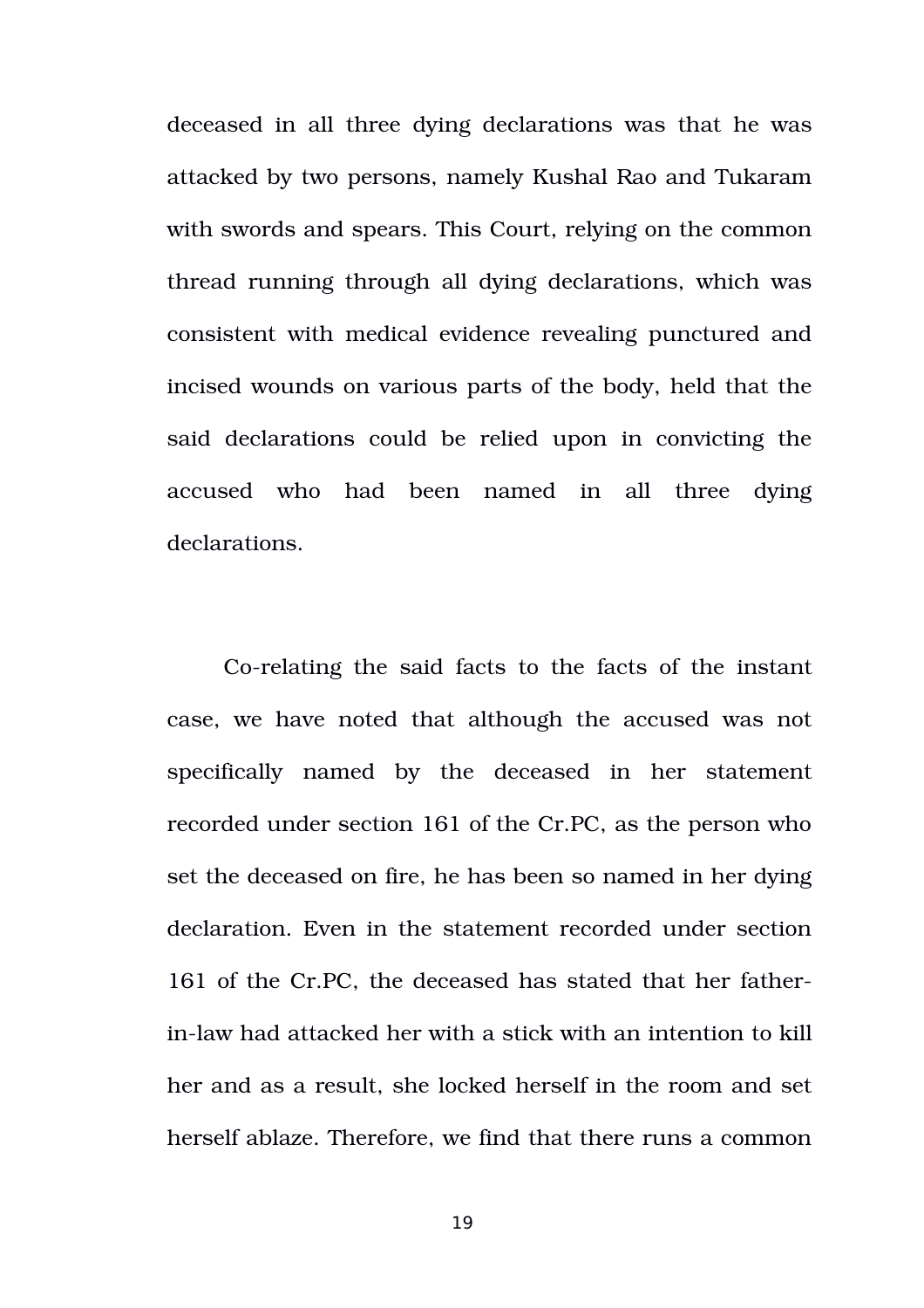deceased in all three dying declarations was that he was attacked by two persons, namely Kushal Rao and Tukaram with swords and spears. This Court, relying on the common thread running through all dying declarations, which was consistent with medical evidence revealing punctured and incised wounds on various parts of the body, held that the said declarations could be relied upon in convicting the accused who had been named in all three dying declarations.

Corelating the said facts to the facts of the instant case, we have noted that although the accused was not specifically named by the deceased in her statement recorded under section 161 of the Cr.PC, as the person who set the deceased on fire, he has been so named in her dying declaration. Even in the statement recorded under section 161 of the Cr.PC, the deceased has stated that her fatherin-law had attacked her with a stick with an intention to kill her and as a result, she locked herself in the room and set herself ablaze. Therefore, we find that there runs a common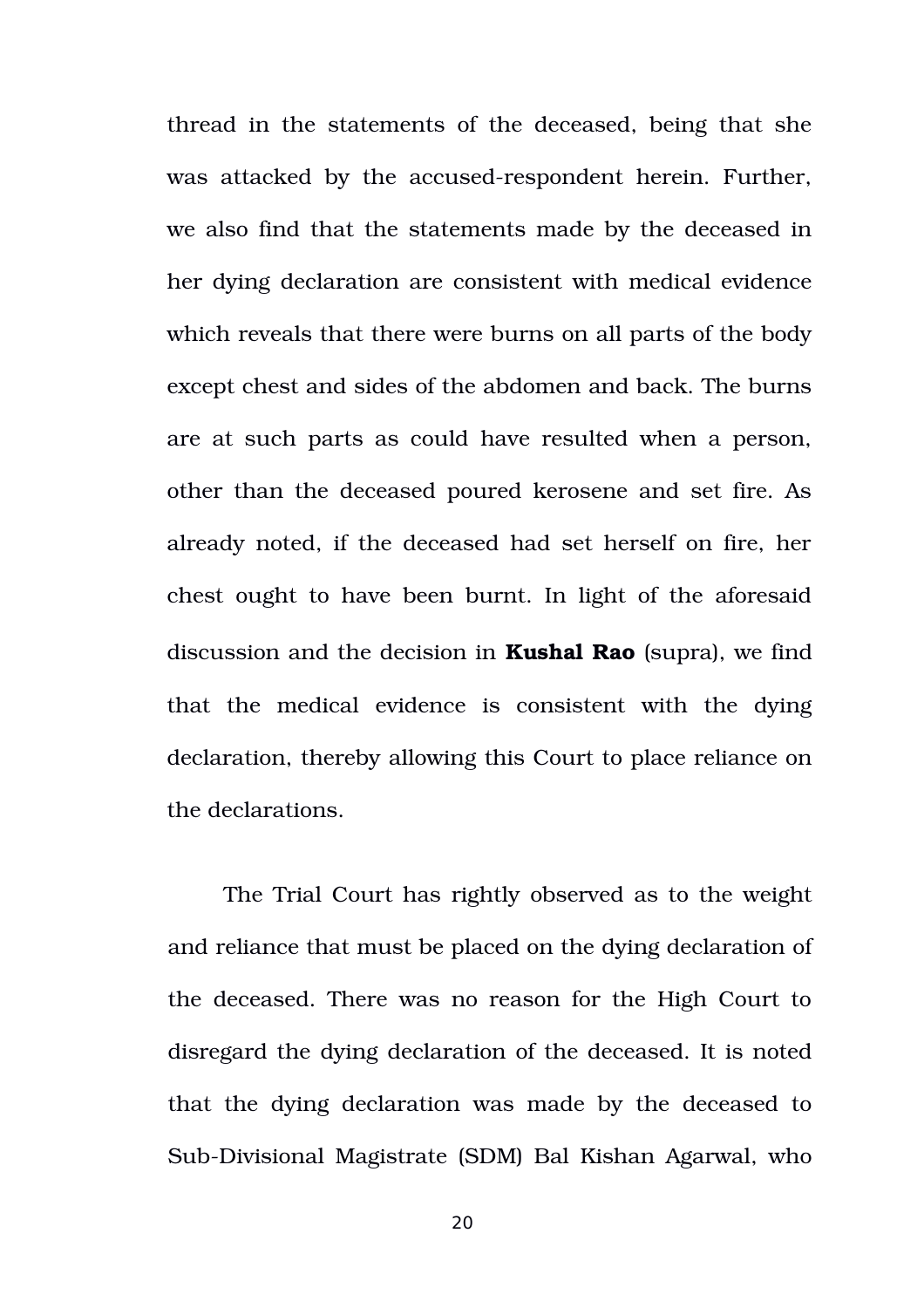thread in the statements of the deceased, being that she was attacked by the accused-respondent herein. Further, we also find that the statements made by the deceased in her dying declaration are consistent with medical evidence which reveals that there were burns on all parts of the body except chest and sides of the abdomen and back. The burns are at such parts as could have resulted when a person, other than the deceased poured kerosene and set fire. As already noted, if the deceased had set herself on fire, her chest ought to have been burnt. In light of the aforesaid discussion and the decision in **Kushal Rao** (supra), we find that the medical evidence is consistent with the dying declaration, thereby allowing this Court to place reliance on the declarations.

The Trial Court has rightly observed as to the weight and reliance that must be placed on the dying declaration of the deceased. There was no reason for the High Court to disregard the dying declaration of the deceased. It is noted that the dying declaration was made by the deceased to Sub-Divisional Magistrate (SDM) Bal Kishan Agarwal, who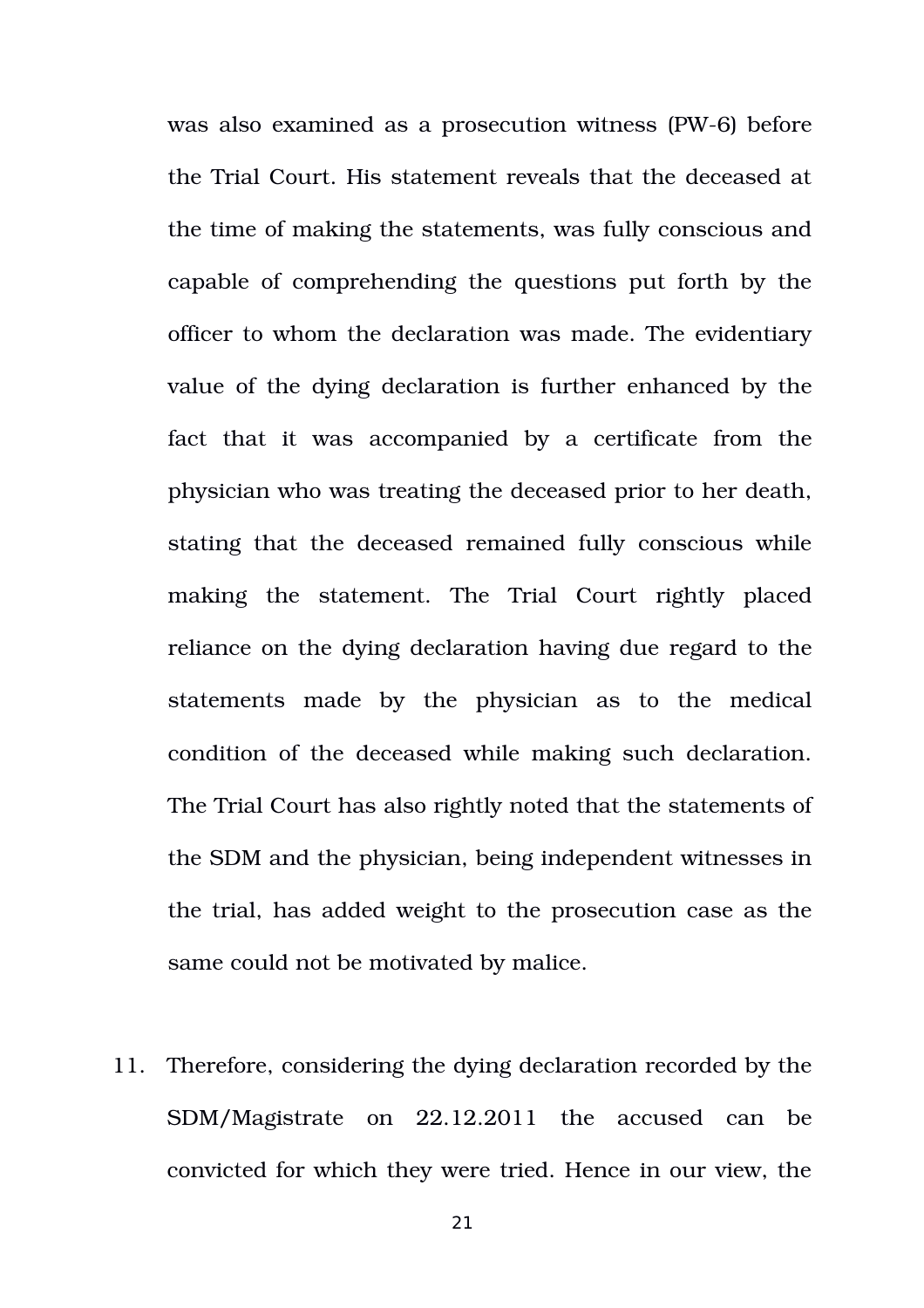was also examined as a prosecution witness (PW-6) before the Trial Court. His statement reveals that the deceased at the time of making the statements, was fully conscious and capable of comprehending the questions put forth by the officer to whom the declaration was made. The evidentiary value of the dying declaration is further enhanced by the fact that it was accompanied by a certificate from the physician who was treating the deceased prior to her death, stating that the deceased remained fully conscious while making the statement. The Trial Court rightly placed reliance on the dying declaration having due regard to the statements made by the physician as to the medical condition of the deceased while making such declaration. The Trial Court has also rightly noted that the statements of the SDM and the physician, being independent witnesses in the trial, has added weight to the prosecution case as the same could not be motivated by malice.

11. Therefore, considering the dying declaration recorded by the SDM/Magistrate on 22.12.2011 the accused can be convicted for which they were tried. Hence in our view, the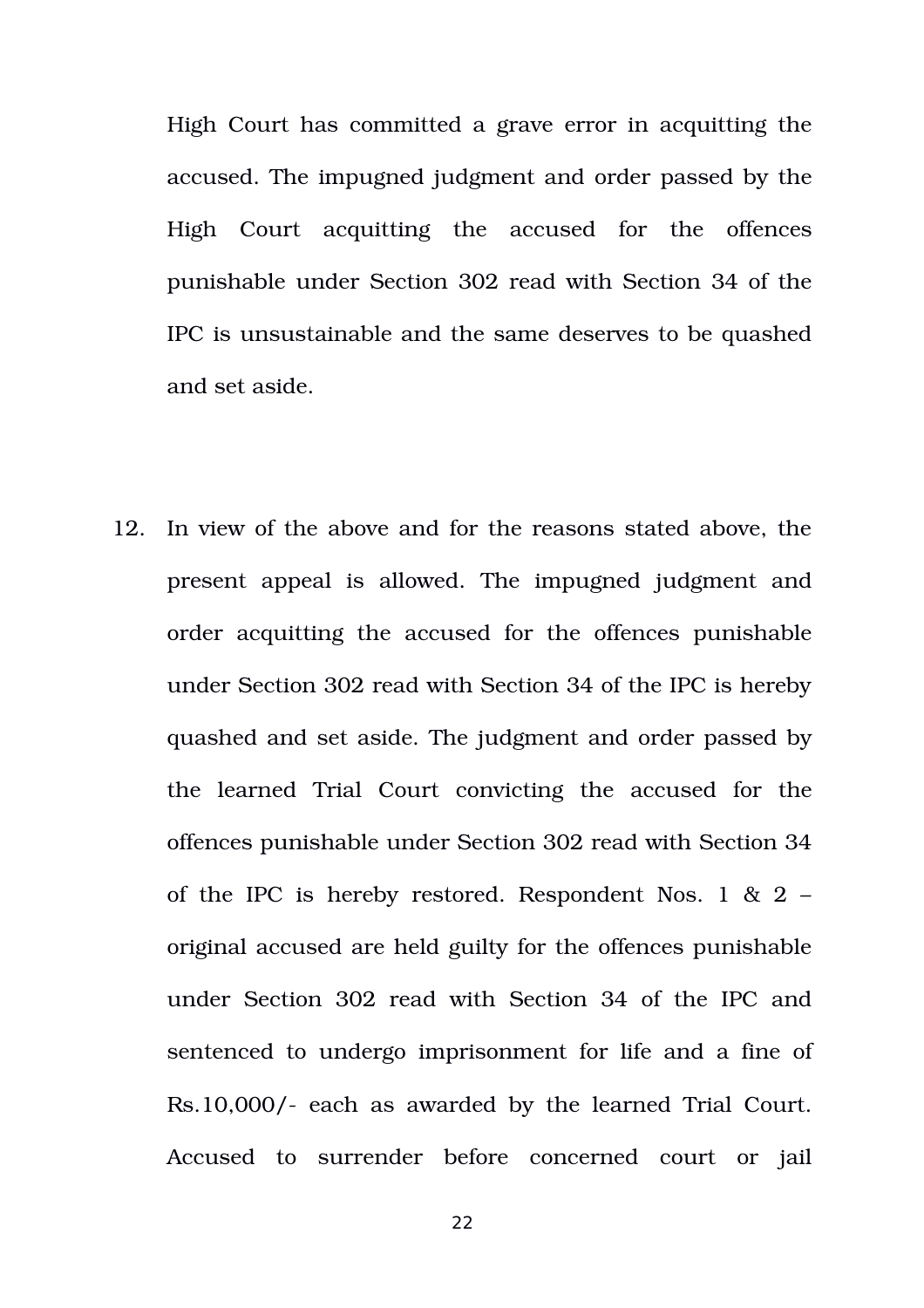High Court has committed a grave error in acquitting the accused. The impugned judgment and order passed by the High Court acquitting the accused for the offences punishable under Section 302 read with Section 34 of the IPC is unsustainable and the same deserves to be quashed and set aside.

12. In view of the above and for the reasons stated above, the present appeal is allowed. The impugned judgment and order acquitting the accused for the offences punishable under Section 302 read with Section 34 of the IPC is hereby quashed and set aside. The judgment and order passed by the learned Trial Court convicting the accused for the offences punishable under Section 302 read with Section 34 of the IPC is hereby restored. Respondent Nos. 1 & 2 – original accused are held guilty for the offences punishable under Section 302 read with Section 34 of the IPC and sentenced to undergo imprisonment for life and a fine of Rs.10,000/- each as awarded by the learned Trial Court. Accused to surrender before concerned court or jail